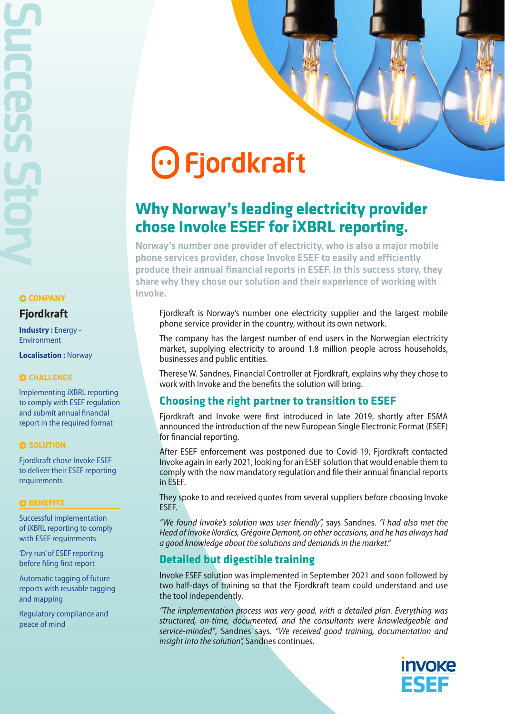Success Story

### **COMPANY**

### **Fjordkraft**

**Industry :** Energy - Environment

**Localisation :** Norway

### **CHALLENGE**

Implementing iXBRL reporting to comply with ESEF regulation and submit annual financial report in the required format

### **SOLUTION**

Fjordkraft chose Invoke ESEF to deliver their ESEF reporting requirements

#### $\odot$  **BENEFITS**

Successful implementation of iXBRL reporting to comply with ESEF requirements

'Dry run' of ESEF reporting before filing first report

Automatic tagging of future reports with reusable tagging and mapping

Regulatory compliance and peace of mind

# $\odot$  Fjordkraft

# **Why Norway's leading electricity provider chose Invoke ESEF for iXBRL reporting.**

Norway's number one provider of electricity, who is also a major mobile phone services provider, chose Invoke ESEF to easily and efficiently produce their annual financial reports in ESEF. In this success story, they share why they chose our solution and their experience of working with Invoke.

Fjordkraft is Norway's number one electricity supplier and the largest mobile phone service provider in the country, without its own network.

The company has the largest number of end users in the Norwegian electricity market, supplying electricity to around 1.8 million people across households, businesses and public entities.

Therese W. Sandnes, Financial Controller at Fjordkraft, explains why they chose to work with Invoke and the benefits the solution will bring.

# **Choosing the right partner to transition to ESEF**

Fjordkraft and Invoke were first introduced in late 2019, shortly after ESMA announced the introduction of the new European Single Electronic Format (ESEF) for financial reporting.

After ESEF enforcement was postponed due to Covid-19, Fjordkraft contacted Invoke again in early 2021, looking for an ESEF solution that would enable them to comply with the now mandatory regulation and file their annual financial reports in ESEF.

They spoke to and received quotes from several suppliers before choosing Invoke ESEF.

*"We found Invoke's solution was user friendly",* says Sandnes. *"I had also met the Head of Invoke Nordics, Grégoire Demont, on other occasions, and he has always had a good knowledge about the solutions and demands in the market."*

# **Detailed but digestible training**

Invoke ESEF solution was implemented in September 2021 and soon followed by two half-days of training so that the Fjordkraft team could understand and use the tool independently.

*"The implementation process was very good, with a detailed plan. Everything was structured, on-time, documented, and the consultants were knowledgeable and service-minded"*, Sandnes says. *"We received good training, documentation and insight into the solution",* Sandnes continues.